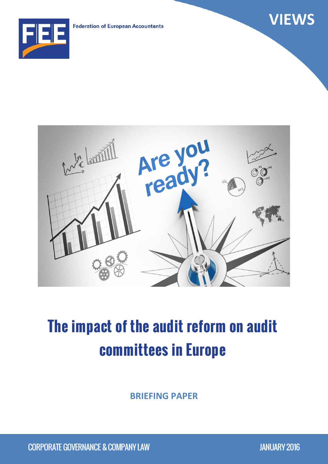**Federation of European Accountants** 





# **The impact of the audit reform on audit committees in Europe**

**BRIEFING PAPER**

CORPORATE GOVERNANCE & COMPANY LAW JANUARY 2016

**VIEWS**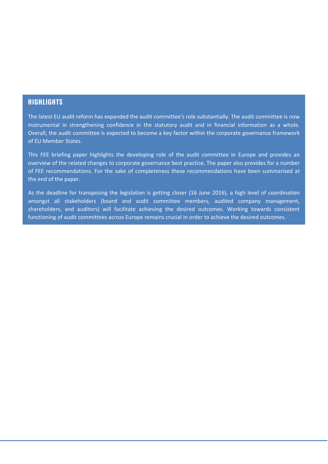# **HIGHLIGHTS**

The latest EU audit reform has expanded the audit committee's role substantially. The audit committee is now instrumental in strengthening confidence in the statutory audit and in financial information as a whole. Overall, the audit committee is expected to become a key factor within the corporate governance framework of EU Member States.

This FEE briefing paper highlights the developing role of the audit committee in Europe and provides an overview of the related changes to corporate governance best practice. The paper also provides for a number of FEE recommendations. For the sake of completeness these recommendations have been summarised at the end of the paper.

As the deadline for transposing the legislation is getting closer (16 June 2016), a high level of coordination amongst all stakeholders (board and audit committee members, audited company management, shareholders, and auditors) will facilitate achieving the desired outcomes. Working towards consistent functioning of audit committees across Europe remains crucial in order to achieve the desired outcomes.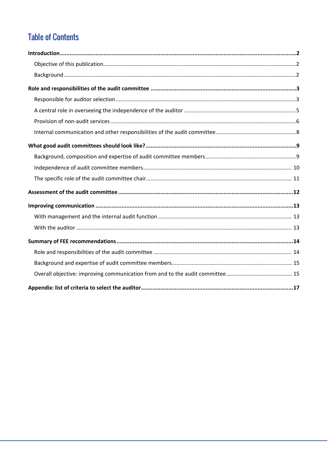# **Table of Contents**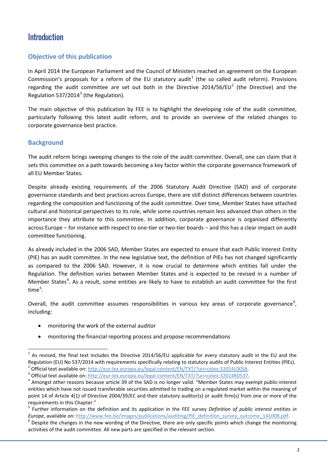# <span id="page-3-0"></span>**Introduction**

# <span id="page-3-1"></span>**Objective of this publication**

In April 2014 the European Parliament and the Council of Ministers reached an agreement on the European Commission's proposals for a reform of the EU statutory audit<sup>[1](#page-3-3)</sup> (the so called audit reform). Provisions regarding the audit committee are set out both in the Directive [2](#page-3-4)014/56/EU<sup>2</sup> (the Directive) and the Regulation 5[3](#page-3-5)7/2014 $3$  (the Regulation).

The main objective of this publication by FEE is to highlight the developing role of the audit committee, particularly following this latest audit reform, and to provide an overview of the related changes to corporate governance best practice.

## <span id="page-3-2"></span>**Background**

The audit reform brings sweeping changes to the role of the audit committee. Overall, one can claim that it sets this committee on a path towards becoming a key factor within the corporate governance framework of all EU Member States.

Despite already existing requirements of the 2006 Statutory Audit Directive (SAD) and of corporate governance standards and best practices across Europe, there are still distinct differences between countries regarding the composition and functioning of the audit committee. Over time, Member States have attached cultural and historical perspectives to its role, while some countries remain less advanced than others in the importance they attribute to this committee. In addition, corporate governance is organised differently across Europe − for instance with respect to one-tier or two-tier boards − and this has a clear impact on audit committee functioning.

As already included in the 2006 SAD, Member States are expected to ensure that each Public Interest Entity (PIE) has an audit committee. In the new legislative text, the definition of PIEs has not changed significantly as compared to the 2006 SAD. However, it is now crucial to determine which entities fall under the Regulation. The definition varies between Member States and is expected to be revised in a number of Member States<sup>[4](#page-3-6)</sup>. As a result, some entities are likely to have to establish an audit committee for the first time $^5$  $^5$ .

Overall, the audit committee assumes responsibilities in various key areas of corporate governance<sup>[6](#page-3-8)</sup>, including:

- monitoring the work of the external auditor
- monitoring the financial reporting process and propose recommendations

<span id="page-3-3"></span> $1$  As revised, the final text includes the Directive 2014/56/EU applicable for every statutory audit in the EU and the Regulation (EU) No 537/2014 with requirements specifically relating to statutory audits of Public Interest Entities (PIEs).<br>
<sup>2</sup> Official text available on: http://eur-lex.europa.eu/legal-content/EN/TXT/?uri=celex:32014L00

<span id="page-3-4"></span>

<span id="page-3-6"></span><span id="page-3-5"></span>entities which have not issued transferable securities admitted to trading on a regulated market within the meaning of point 14 of Article 4(1) of Directive 2004/39/EC and their statutory auditor(s) or audit firm(s) from one or more of the requirements in this Chapter."

<span id="page-3-7"></span><sup>5</sup> Further information on the definition and its application in the FEE survey *Definition of public interest entities in Europe,* available on: http://www.fee.be/images/publications/auditing/PIE definition survey outcome 141008.pdf.<br><sup>6</sup> Despite the changes in the new wording of the Directive, there are only specific points which change the

<span id="page-3-8"></span>activities of the audit committee. All new parts are specified in the relevant section.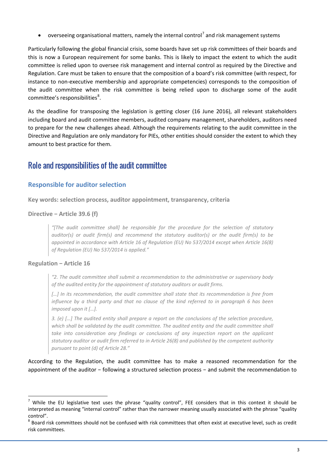overseeing organisational matters, namely the internal control<sup>[7](#page-4-2)</sup> and risk management systems

Particularly following the global financial crisis, some boards have set up risk committees of their boards and this is now a European requirement for some banks. This is likely to impact the extent to which the audit committee is relied upon to oversee risk management and internal control as required by the Directive and Regulation. Care must be taken to ensure that the composition of a board's risk committee (with respect, for instance to non-executive membership and appropriate competencies) corresponds to the composition of the audit committee when the risk committee is being relied upon to discharge some of the audit committee's responsibilities ${}^{8}$  ${}^{8}$  ${}^{8}$ .

As the deadline for transposing the legislation is getting closer (16 June 2016), all relevant stakeholders including board and audit committee members, audited company management, shareholders, auditors need to prepare for the new challenges ahead. Although the requirements relating to the audit committee in the Directive and Regulation are only mandatory for PIEs, other entities should consider the extent to which they amount to best practice for them.

# <span id="page-4-0"></span>Role and responsibilities of the audit committee

## <span id="page-4-1"></span>**Responsible for auditor selection**

**Key words: selection process, auditor appointment, transparency, criteria**

#### **Directive − Article 39.6 (f)**

*"[The audit committee shall] be responsible for the procedure for the selection of statutory auditor(s) or audit firm(s) and recommend the statutory auditor(s) or the audit firm(s) to be appointed in accordance with Article 16 of Regulation (EU) No 537/2014 except when Article 16(8) of Regulation (EU) No 537/2014 is applied."*

## **Regulation − Article 16**

*"2. The audit committee shall submit a recommendation to the administrative or supervisory body of the audited entity for the appointment of statutory auditors or audit firms.* 

*[…] In its recommendation, the audit committee shall state that its recommendation is free from influence by a third party and that no clause of the kind referred to in paragraph 6 has been imposed upon it […].*

*3. (e) […] The audited entity shall prepare a report on the conclusions of the selection procedure,*  which shall be validated by the audit committee. The audited entity and the audit committee shall take into consideration any findings or conclusions of any inspection report on the applicant *statutory auditor or audit firm referred to in Article 26(8) and published by the competent authority pursuant to point (d) of Article 28."*

According to the Regulation, the audit committee has to make a reasoned recommendation for the appointment of the auditor − following a structured selection process − and submit the recommendation to

<span id="page-4-2"></span>While the EU legislative text uses the phrase "quality control", FEE considers that in this context it should be interpreted as meaning "internal control" rather than the narrower meaning usually associated with the phrase "quality control".<br><sup>8</sup> Board risk committees should not be confused with risk committees that often exist at executive level, such as credit

<span id="page-4-3"></span>risk committees.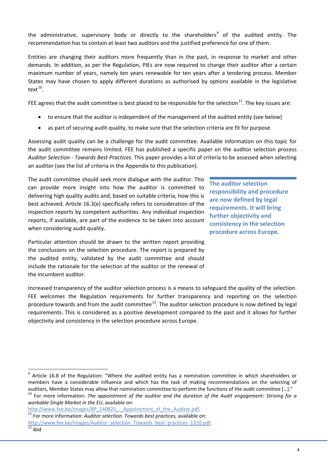the administrative, supervisory body or directly to the shareholders<sup>[9](#page-5-0)</sup> of the audited entity. The recommendation has to contain at least two auditors and the justified preference for one of them.

Entities are changing their auditors more frequently than in the past, in response to market and other demands. In addition, as per the Regulation, PIEs are now required to change their auditor after a certain maximum number of years, namely ten years renewable for ten years after a tendering process. Member States may have chosen to apply different durations as authorised by options available in the legislative text $10$ .

FEE agrees that the audit committee is best placed to be responsible for the selection<sup>[11](#page-5-2)</sup>. The key issues are:

- to ensure that the auditor is independent of the management of the audited entity (see below)
- as part of securing audit quality, to make sure that the selection criteria are fit for purpose

Assessing audit quality can be a challenge for the audit committee. Available information on this topic for the audit committee remains limited. FEE has published a specific paper on the auditor selection process *Auditor Selection - Towards Best Practices*. This paper provides a list of criteria to be assessed when selecting an auditor (see the list of criteria in the Appendix to this publication).

The audit committee should seek more dialogue with the auditor. This can provide more insight into how the auditor is committed to delivering high quality audits and, based on suitable criteria, how this is best achieved. Article 16.3(e) specifically refers to consideration of the inspection reports by competent authorities. Any individual inspection reports, if available, are part of the evidence to be taken into account when considering audit quality.

Particular attention should be drawn to the written report providing the conclusions on the selection procedure. The report is prepared by the audited entity, validated by the audit committee and should include the rationale for the selection of the auditor or the renewal of the incumbent auditor.

**The auditor selection responsibility and procedure are now defined by legal requirements. It will bring further objectivity and consistency in the selection procedure across Europe.**

Increased transparency of the auditor selection process is a means to safeguard the quality of the selection. FEE welcomes the Regulation requirements for further transparency and reporting on the selection procedure towards and from the audit committee<sup>[12](#page-5-3)</sup>. The auditor selection procedure is now defined by legal requirements. This is considered as a positive development compared to the past and it allows for further objectivity and consistency in the selection procedure across Europe.

<span id="page-5-0"></span><sup>9</sup> Article 16.8 of the Regulation: "Where the audited entity has a nomination committee in which shareholders or members have a considerable influence and which has the task of making recommendations on the selecting of auditors, Member States may allow that nomination committee to perform the functions of the audit committee [...]."<br><sup>10</sup> For more information: *The appointment of the auditor and the duration of the Audit engagement: Striv* 

<span id="page-5-1"></span>*workable Single Market in the EU*, available on:

[http://www.fee.be/images/BP\\_140825\\_-\\_Appointment\\_of\\_the\\_Auditor.pdf.](http://www.fee.be/images/BP_140825_-_Appointment_of_the_Auditor.pdf)<br><sup>11</sup> For more information: *Auditor selection. Towards best practices, available on:* 

<span id="page-5-2"></span>[http://www.fee.be/images/Auditor\\_selection\\_Towards\\_best\\_practices\\_1310.pdf.](http://www.fee.be/images/Auditor_selection_Towards_best_practices_1310.pdf)<br>12 ibid

<span id="page-5-3"></span>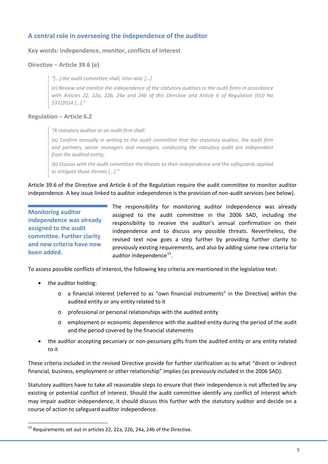# <span id="page-6-0"></span>**A central role in overseeing the independence of the auditor**

**Key words: independence, monitor, conflicts of interest**

#### **Directive − Article 39.6 (e)**

*"[…] the audit committee shall, inter alia: […]* 

*(e) Review and monitor the independence of the statutory auditors or the audit firms in accordance with Articles 22, 22a, 22b, 24a and 24b of this Directive and Article 6 of Regulation (EU) No 537/2014 […]."*

#### **Regulation − Article 6.2**

*"A statutory auditor or an audit firm shall:*

*(a) Confirm annually in writing to the audit committee that the statutory auditor, the audit firm and partners, senior managers and managers, conducting the statutory audit are independent from the audited entity;*

*(b) Discuss with the audit committee the threats to their independence and the safeguards applied to mitigate those threats […]."*

Article 39.6 of the Directive and Article 6 of the Regulation require the audit committee to monitor auditor independence. A key issue linked to auditor independence is the provision of non-audit services (see below).

**Monitoring auditor independence was already assigned to the audit committee. Further clarity and new criteria have now been added.**

The responsibility for monitoring auditor independence was already assigned to the audit committee in the 2006 SAD, including the responsibility to receive the auditor's annual confirmation on their independence and to discuss any possible threats. Nevertheless, the revised text now goes a step further by providing further clarity to previously existing requirements, and also by adding some new criteria for auditor independence $^{13}$ .

To assess possible conflicts of interest, the following key criteria are mentioned in the legislative text:

- the auditor holding:
	- o a financial interest (referred to as "own financial instruments" in the Directive) within the audited entity or any entity related to it
	- o professional or personal relationships with the audited entity
	- o employment or economic dependence with the audited entity during the period of the audit and the period covered by the financial statements
- the auditor accepting pecuniary or non-pecuniary gifts from the audited entity or any entity related to it

These criteria included in the revised Directive provide for further clarification as to what "direct or indirect financial, business, employment or other relationship" implies (as previously included in the 2006 SAD).

Statutory auditors have to take all reasonable steps to ensure that their independence is not affected by any existing or potential conflict of interest. Should the audit committee identify any conflict of interest which may impair auditor independence, it should discuss this further with the statutory auditor and decide on a course of action to safeguard auditor independence.

<span id="page-6-1"></span> $^{13}$  Requirements set out in articles 22, 22a, 22b, 24a, 24b of the Directive.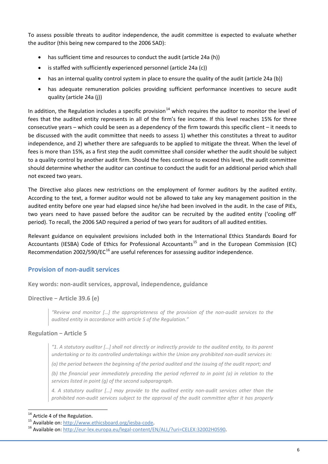To assess possible threats to auditor independence, the audit committee is expected to evaluate whether the auditor (this being new compared to the 2006 SAD):

- has sufficient time and resources to conduct the audit (article 24a (h))
- is staffed with sufficiently experienced personnel (article 24a (c))
- has an internal quality control system in place to ensure the quality of the audit (article 24a (b))
- has adequate remuneration policies providing sufficient performance incentives to secure audit quality (article 24a (j))

In addition, the Regulation includes a specific provision<sup>[14](#page-7-1)</sup> which requires the auditor to monitor the level of fees that the audited entity represents in all of the firm's fee income. If this level reaches 15% for three consecutive years – which could be seen as a dependency of the firm towards this specific client – it needs to be discussed with the audit committee that needs to assess 1) whether this constitutes a threat to auditor independence, and 2) whether there are safeguards to be applied to mitigate the threat. When the level of fees is more than 15%, as a first step the audit committee shall consider whether the audit should be subject to a quality control by another audit firm. Should the fees continue to exceed this level, the audit committee should determine whether the auditor can continue to conduct the audit for an additional period which shall not exceed two years.

The Directive also places new restrictions on the employment of former auditors by the audited entity. According to the text, a former auditor would not be allowed to take any key management position in the audited entity before one year had elapsed since he/she had been involved in the audit. In the case of PIEs, two years need to have passed before the auditor can be recruited by the audited entity ('cooling off' period). To recall, the 2006 SAD required a period of two years for auditors of all audited entities.

Relevant guidance on equivalent provisions included both in the International Ethics Standards Board for Accountants (IESBA) Code of Ethics for Professional Accountants<sup>[15](#page-7-2)</sup> and in the European Commission (EC) Recommendation 2002/590/EC $^{16}$  $^{16}$  $^{16}$  are useful references for assessing auditor independence.

# <span id="page-7-0"></span>**Provision of non-audit services**

**Key words: non-audit services, approval, independence, guidance**

#### **Directive − Article 39.6 (e)**

*"Review and monitor […] the appropriateness of the provision of the non-audit services to the audited entity in accordance with article 5 of the Regulation."*

#### **Regulation − Article 5**

*"1. A statutory auditor […] shall not directly or indirectly provide to the audited entity, to its parent undertaking or to its controlled undertakings within the Union any prohibited non-audit services in:* 

*(a) the period between the beginning of the period audited and the issuing of the audit report; and* 

*(b) the financial year immediately preceding the period referred to in point (a) in relation to the services listed in point (g) of the second subparagraph.*

*4. A statutory auditor […] may provide to the audited entity non-audit services other than the prohibited non-audit services subject to the approval of the audit committee after it has properly* 

<span id="page-7-3"></span><span id="page-7-2"></span>

<span id="page-7-1"></span><sup>&</sup>lt;sup>14</sup> Article 4 of the Regulation.<br><sup>15</sup> Available on: <u>http://www.ethicsboard.org/iesba-code</u>.<br><sup>16</sup> Available on: <u>http://eur-lex.europa.eu/legal-content/EN/ALL/?uri=CELEX:32002H0590</u>.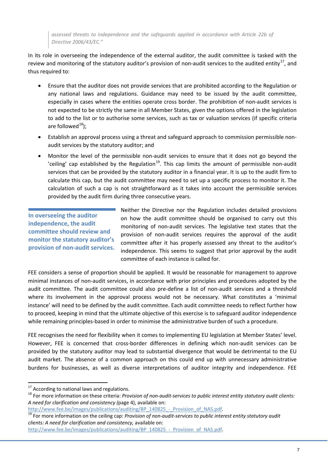*assessed threats to independence and the safeguards applied in accordance with Article 22b of Directive 2006/43/EC."*

In its role in overseeing the independence of the external auditor, the audit committee is tasked with the review and monitoring of the statutory auditor's provision of non-audit services to the audited entity<sup>[17](#page-8-0)</sup>, and thus required to:

- Ensure that the auditor does not provide services that are prohibited according to the Regulation or any national laws and regulations. Guidance may need to be issued by the audit committee, especially in cases where the entities operate cross border. The prohibition of non-audit services is not expected to be strictly the same in all Member States, given the options offered in the legislation to add to the list or to authorise some services, such as tax or valuation services (if specific criteria are followed $^{18}$ );
- Establish an approval process using a threat and safeguard approach to commission permissible nonaudit services by the statutory auditor; and
- Monitor the level of the permissible non-audit services to ensure that it does not go beyond the 'ceiling' cap established by the Regulation<sup>[19](#page-8-2)</sup>. This cap limits the amount of permissible non-audit services that can be provided by the statutory auditor in a financial year. It is up to the audit firm to calculate this cap, but the audit committee may need to set up a specific process to monitor it. The calculation of such a cap is not straightforward as it takes into account the permissible services provided by the audit firm during three consecutive years.

**In overseeing the auditor independence, the audit committee should review and monitor the statutory auditor's provision of non-audit services.**

Neither the Directive nor the Regulation includes detailed provisions on how the audit committee should be organised to carry out this monitoring of non-audit services. The legislative text states that the provision of non-audit services requires the approval of the audit committee after it has properly assessed any threat to the auditor's independence. This seems to suggest that prior approval by the audit committee of each instance is called for.

FEE considers a sense of proportion should be applied. It would be reasonable for management to approve minimal instances of non-audit services, in accordance with prior principles and procedures adopted by the audit committee. The audit committee could also pre-define a list of non-audit services and a threshold where its involvement in the approval process would not be necessary. What constitutes a 'minimal instance' will need to be defined by the audit committee. Each audit committee needs to reflect further how to proceed, keeping in mind that the ultimate objective of this exercise is to safeguard auditor independence while remaining principles-based in order to minimise the administrative burden of such a procedure.

FEE recognises the need for flexibility when it comes to implementing EU legislation at Member States' level. However, FEE is concerned that cross-border differences in defining which non-audit services can be provided by the statutory auditor may lead to substantial divergence that would be detrimental to the EU audit market. The absence of a common approach on this could end up with unnecessary administrative burdens for businesses, as well as diverse interpretations of auditor integrity and independence. FEE

<span id="page-8-1"></span>

<span id="page-8-0"></span><sup>&</sup>lt;sup>17</sup> According to national laws and regulations.<br><sup>18</sup> For more information on these criteria: *Provision of non-audit-services to public interest entity statutory audit clients: A need for clarification and consistency (*page 4), available on:

<span id="page-8-2"></span>[http://www.fee.be/images/publications/auditing/BP\\_140825\\_-\\_Provision\\_of\\_NAS.pdf.](http://www.fee.be/images/publications/auditing/BP_140825_-_Provision_of_NAS.pdf)<br><sup>19</sup> For more information on the ceiling cap: *Provision of non-audit-services to public interest entity statutory audit clients: A need for clarification and consistency,* available on:

[http://www.fee.be/images/publications/auditing/BP\\_140825\\_-\\_Provision\\_of\\_NAS.pdf.](http://www.fee.be/images/publications/auditing/BP_140825_-_Provision_of_NAS.pdf)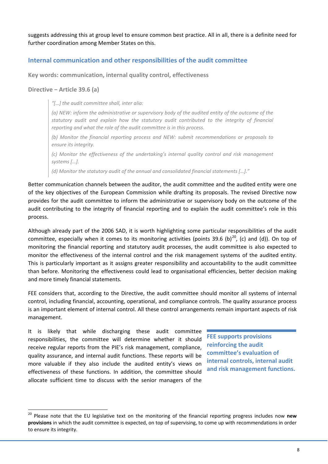suggests addressing this at group level to ensure common best practice. All in all, there is a definite need for further coordination among Member States on this.

## <span id="page-9-0"></span>**Internal communication and other responsibilities of the audit committee**

**Key words: communication, internal quality control, effectiveness**

### **Directive − Article 39.6 (a)**

*"[…] the audit committee shall, inter alia:*

*(a) NEW: inform the administrative or supervisory body of the audited entity of the outcome of the statutory audit and explain how the statutory audit contributed to the integrity of financial reporting and what the role of the audit committee is in this process.*

*(b) Monitor the financial reporting process and NEW: submit recommendations or proposals to ensure its integrity.*

*(c) Monitor the effectiveness of the undertaking's internal quality control and risk management systems […].*

*(d) Monitor the statutory audit of the annual and consolidated financial statements […]."*

Better communication channels between the auditor, the audit committee and the audited entity were one of the key objectives of the European Commission while drafting its proposals. The revised Directive now provides for the audit committee to inform the administrative or supervisory body on the outcome of the audit contributing to the integrity of financial reporting and to explain the audit committee's role in this process.

Although already part of the 2006 SAD, it is worth highlighting some particular responsibilities of the audit committee, especially when it comes to its monitoring activities (points 39.6 (b)<sup>20</sup>, (c) and (d)). On top of monitoring the financial reporting and statutory audit processes, the audit committee is also expected to monitor the effectiveness of the internal control and the risk management systems of the audited entity. This is particularly important as it assigns greater responsibility and accountability to the audit committee than before. Monitoring the effectiveness could lead to organisational efficiencies, better decision making and more timely financial statements.

FEE considers that, according to the Directive, the audit committee should monitor all systems of internal control, including financial, accounting, operational, and compliance controls. The quality assurance process is an important element of internal control. All these control arrangements remain important aspects of risk management.

It is likely that while discharging these audit committee responsibilities, the committee will determine whether it should receive regular reports from the PIE's risk management, compliance, quality assurance, and internal audit functions. These reports will be more valuable if they also include the audited entity's views on effectiveness of these functions. In addition, the committee should allocate sufficient time to discuss with the senior managers of the

**FEE supports provisions reinforcing the audit committee's evaluation of internal controls, internal audit and risk management functions.**

<span id="page-9-1"></span> <sup>20</sup> Please note that the EU legislative text on the monitoring of the financial reporting progress includes now **new provisions** in which the audit committee is expected, on top of supervising, to come up with recommendations in order to ensure its integrity.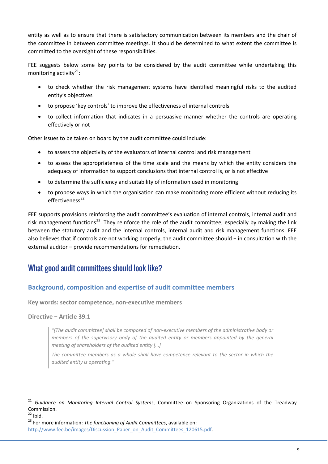entity as well as to ensure that there is satisfactory communication between its members and the chair of the committee in between committee meetings. It should be determined to what extent the committee is committed to the oversight of these responsibilities.

FEE suggests below some key points to be considered by the audit committee while undertaking this monitoring activity $21$ :

- to check whether the risk management systems have identified meaningful risks to the audited entity's objectives
- to propose 'key controls' to improve the effectiveness of internal controls
- to collect information that indicates in a persuasive manner whether the controls are operating effectively or not

Other issues to be taken on board by the audit committee could include:

- to assess the objectivity of the evaluators of internal control and risk management
- to assess the appropriateness of the time scale and the means by which the entity considers the adequacy of information to support conclusions that internal control is, or is not effective
- to determine the sufficiency and suitability of information used in monitoring
- to propose ways in which the organisation can make monitoring more efficient without reducing its  $eff$ effectiveness<sup>[22](#page-10-3)</sup>

FEE supports provisions reinforcing the audit committee's evaluation of internal controls, internal audit and risk management functions<sup>[23](#page-10-4)</sup>. They reinforce the role of the audit committee, especially by making the link between the statutory audit and the internal controls, internal audit and risk management functions. FEE also believes that if controls are not working properly, the audit committee should − in consultation with the external auditor − provide recommendations for remediation.

# <span id="page-10-0"></span>What good audit committees should look like?

# <span id="page-10-1"></span>**Background, composition and expertise of audit committee members**

**Key words: sector competence, non-executive members**

**Directive − Article 39.1**

*"[The audit committee] shall be composed of non-executive members of the administrative body or members of the supervisory body of the audited entity or members appointed by the general meeting of shareholders of the audited entity […]*

The committee members as a whole shall have competence relevant to the sector in which the *audited entity is operating."*

<span id="page-10-2"></span> <sup>21</sup> *Guidance on Monitoring Internal Control Systems*, Committee on Sponsoring Organizations of the Treadway Commission.<br><sup>22</sup> Ibid.<br><sup>23</sup> For more information: *The functioning of Audit Committees*, available on:

<span id="page-10-3"></span>

<span id="page-10-4"></span>[http://www.fee.be/images/Discussion\\_Paper\\_on\\_Audit\\_Committees\\_120615.pdf.](http://www.fee.be/images/Discussion_Paper_on_Audit_Committees_120615.pdf)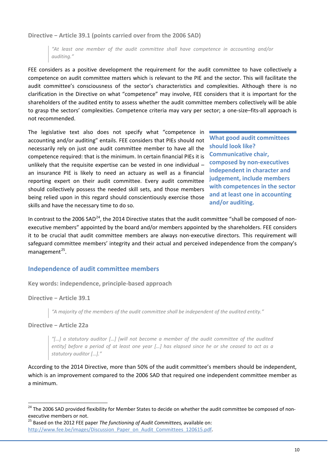**Directive − Article 39.1 (points carried over from the 2006 SAD)**

*"At least one member of the audit committee shall have competence in accounting and/or auditing."*

FEE considers as a positive development the requirement for the audit committee to have collectively a competence on audit committee matters which is relevant to the PIE and the sector. This will facilitate the audit committee's consciousness of the sector's characteristics and complexities. Although there is no clarification in the Directive on what "competence" may involve, FEE considers that it is important for the shareholders of the audited entity to assess whether the audit committee members collectively will be able to grasp the sectors' complexities. Competence criteria may vary per sector; a one-size–fits-all approach is not recommended.

The legislative text also does not specify what "competence in accounting and/or auditing" entails. FEE considers that PIEs should not necessarily rely on just one audit committee member to have all the competence required: that is the minimum. In certain financial PIEs it is unlikely that the requisite expertise can be vested in one individual – an insurance PIE is likely to need an actuary as well as a financial reporting expert on their audit committee. Every audit committee should collectively possess the needed skill sets, and those members being relied upon in this regard should conscientiously exercise those skills and have the necessary time to do so.

**What good audit committees should look like? Communicative chair, composed by non-executives independent in character and judgement, include members with competences in the sector and at least one in accounting and/or auditing.**

In contrast to the 2006 SAD<sup>24</sup>, the 2014 Directive states that the audit committee "shall be composed of nonexecutive members" appointed by the board and/or members appointed by the shareholders. FEE considers it to be crucial that audit committee members are always non-executive directors. This requirement will safeguard committee members' integrity and their actual and perceived independence from the company's management $^{25}$  $^{25}$  $^{25}$ .

## <span id="page-11-0"></span>**Independence of audit committee members**

**Key words: independence, principle-based approach**

**Directive − Article 39.1**

*"A majority of the members of the audit committee shall be independent of the audited entity."*

#### **Directive − Article 22a**

*"[…] a statutory auditor […] [will not become a member of the audit committee of the audited entity] before a period of at least one year […] has elapsed since he or she ceased to act as a statutory auditor […]."*

According to the 2014 Directive, more than 50% of the audit committee's members should be independent, which is an improvement compared to the 2006 SAD that required one independent committee member as a minimum.

<span id="page-11-1"></span><sup>&</sup>lt;sup>24</sup> The 2006 SAD provided flexibility for Member States to decide on whether the audit committee be composed of nonexecutive members or not.

<span id="page-11-2"></span><sup>25</sup> Based on the 2012 FEE paper *The functioning of Audit Committees,* available on: [http://www.fee.be/images/Discussion\\_Paper\\_on\\_Audit\\_Committees\\_120615.pdf.](http://www.fee.be/images/Discussion_Paper_on_Audit_Committees_120615.pdf)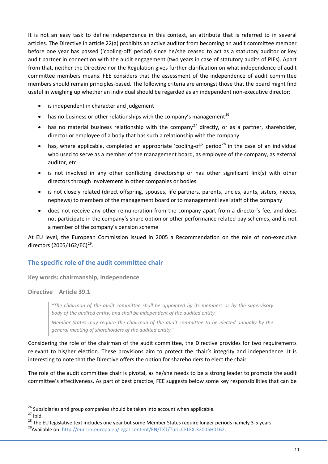It is not an easy task to define independence in this context, an attribute that is referred to in several articles. The Directive in article 22(a) prohibits an active auditor from becoming an audit committee member before one year has passed ('cooling-off' period) since he/she ceased to act as a statutory auditor or key audit partner in connection with the audit engagement (two years in case of statutory audits of PIEs). Apart from that, neither the Directive nor the Regulation gives further clarification on what independence of audit committee members means. FEE considers that the assessment of the independence of audit committee members should remain principles-based. The following criteria are amongst those that the board might find useful in weighing up whether an individual should be regarded as an independent non-executive director:

- is independent in character and judgement
- has no business or other relationships with the company's management<sup>[26](#page-12-1)</sup>
- has no material business relationship with the company<sup>[27](#page-12-2)</sup> directly, or as a partner, shareholder, director or employee of a body that has such a relationship with the company
- has, where applicable, completed an appropriate 'cooling-off' period<sup>[28](#page-12-3)</sup> in the case of an individual who used to serve as a member of the management board, as employee of the company, as external auditor, etc.
- is not involved in any other conflicting directorship or has other significant link(s) with other directors through involvement in other companies or bodies
- is not closely related (direct offspring, spouses, life partners, parents, uncles, aunts, sisters, nieces, nephews) to members of the management board or to management level staff of the company
- does not receive any other remuneration from the company apart from a director's fee, and does not participate in the company's share option or other performance related pay schemes, and is not a member of the company's pension scheme

At EU level, the European Commission issued in 2005 a Recommendation on the role of non-executive directors (2005/162/EC)<sup>[29](#page-12-4)</sup>.

# <span id="page-12-0"></span>**The specific role of the audit committee chair**

**Key words: chairmanship, independence**

**Directive − Article 39.1**

*"The chairman of the audit committee shall be appointed by its members or by the supervisory body of the audited entity, and shall be independent of the audited entity.*

*Member States may require the chairman of the audit committee to be elected annually by the general meeting of shareholders of the audited entity."*

Considering the role of the chairman of the audit committee, the Directive provides for two requirements relevant to his/her election. These provisions aim to protect the chair's integrity and independence. It is interesting to note that the Directive offers the option for shareholders to elect the chair.

The role of the audit committee chair is pivotal, as he/she needs to be a strong leader to promote the audit committee's effectiveness. As part of best practice, FEE suggests below some key responsibilities that can be

<span id="page-12-2"></span>

<span id="page-12-1"></span><sup>&</sup>lt;sup>26</sup> Subsidiaries and group companies should be taken into account when applicable.<br><sup>27</sup> Ibid.<br><sup>28</sup> The EU legislative text includes one year but some Member States require longer periods namely 3-5 years.<br><sup>29</sup> Available

<span id="page-12-4"></span><span id="page-12-3"></span>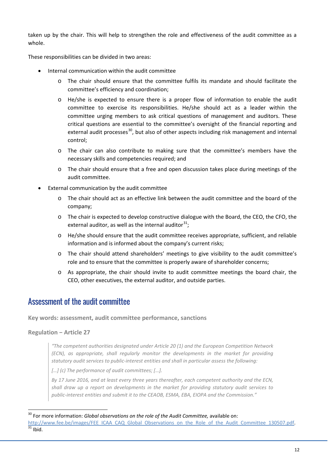taken up by the chair. This will help to strengthen the role and effectiveness of the audit committee as a whole.

These responsibilities can be divided in two areas:

- Internal communication within the audit committee
	- o The chair should ensure that the committee fulfils its mandate and should facilitate the committee's efficiency and coordination;
	- o He/she is expected to ensure there is a proper flow of information to enable the audit committee to exercise its responsibilities. He/she should act as a leader within the committee urging members to ask critical questions of management and auditors. These critical questions are essential to the committee's oversight of the financial reporting and external audit processes<sup>[30](#page-13-1)</sup>, but also of other aspects including risk management and internal control;
	- o The chair can also contribute to making sure that the committee's members have the necessary skills and competencies required; and
	- $\circ$  The chair should ensure that a free and open discussion takes place during meetings of the audit committee.
- External communication by the audit committee
	- o The chair should act as an effective link between the audit committee and the board of the company;
	- o The chair is expected to develop constructive dialogue with the Board, the CEO, the CFO, the external auditor, as well as the internal auditor $^{31}$  $^{31}$  $^{31}$ ;
	- o He/she should ensure that the audit committee receives appropriate, sufficient, and reliable information and is informed about the company's current risks;
	- o The chair should attend shareholders' meetings to give visibility to the audit committee's role and to ensure that the committee is properly aware of shareholder concerns;
	- o As appropriate, the chair should invite to audit committee meetings the board chair, the CEO, other executives, the external auditor, and outside parties.

# <span id="page-13-0"></span>Assessment of the audit committee

**Key words: assessment, audit committee performance, sanctions**

#### **Regulation − Article 27**

*"The competent authorities designated under Article 20 (1) and the European Competition Network (ECN), as appropriate, shall regularly monitor the developments in the market for providing statutory audit services to public-interest entities and shall in particular assess the following:* 

*[…] (c) The performance of audit committees; […].*

*By 17 June 2016, and at least every three years thereafter, each competent authority and the ECN, shall draw up a report on developments in the market for providing statutory audit services to public-interest entities and submit it to the CEAOB, ESMA, EBA, EIOPA and the Commission."*

<span id="page-13-1"></span><sup>&</sup>lt;sup>30</sup> For more information: *Global observations on the role of the Audit Committee, available on*:

<span id="page-13-2"></span>[http://www.fee.be/images/FEE\\_ICAA\\_CAQ\\_Global\\_Observations\\_on\\_the\\_Role\\_of\\_the\\_Audit\\_Committee\\_130507.pdf.](http://www.fee.be/images/FEE_ICAA_CAQ_Global_Observations_on_the_Role_of_the_Audit_Committee_130507.pdf) 31 Ibid.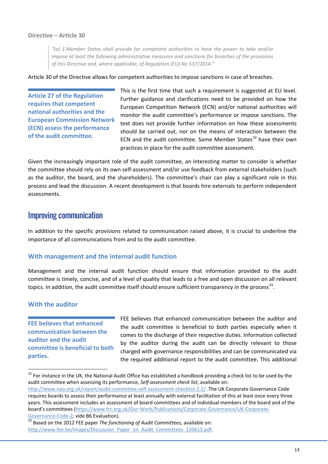#### **Directive − Article 30**

*"(a) 1.Member States shall provide for competent authorities to have the power to take and/or impose at least the following administrative measures and sanctions for breaches of the provisions of this Directive and, where applicable, of Regulation (EU) No 537/2014."*

Article 30 of the Directive allows for competent authorities to impose sanctions in case of breaches.

**Article 27 of the Regulation requires that competent national authorities and the European Commission Network (ECN) assess the performance of the audit committee.**

This is the first time that such a requirement is suggested at EU level. Further guidance and clarifications need to be provided on how the European Competition Network (ECN) and/or national authorities will monitor the audit committee's performance or impose sanctions. The text does not provide further information on how these assessments should be carried out, nor on the means of interaction between the ECN and the audit committee. Some Member States $32$  have their own practices in place for the audit committee assessment.

Given the increasingly important role of the audit committee, an interesting matter to consider is whether the committee should rely on its own self-assessment and/or use feedback from external stakeholders (such as the auditor, the board, and the shareholders). The committee's chair can play a significant role in this process and lead the discussion. A recent development is that boards hire externals to perform independent assessments.

# <span id="page-14-0"></span>Improving communication

In addition to the specific provisions related to communication raised above, it is crucial to underline the importance of all communications from and to the audit committee.

#### <span id="page-14-1"></span>**With management and the internal audit function**

Management and the internal audit function should ensure that information provided to the audit committee is timely, concise, and of a level of quality that leads to a free and open discussion on all relevant topics. In addition, the audit committee itself should ensure sufficient transparency in the process<sup>33</sup>.

#### <span id="page-14-2"></span>**With the auditor**

**FEE believes that enhanced communication between the auditor and the audit committee is beneficial to both parties.**

FEE believes that enhanced communication between the auditor and the audit committee is beneficial to both parties especially when it comes to the discharge of their respective duties. Information collected by the auditor during the audit can be directly relevant to those charged with governance responsibilities and can be communicated via the required additional report to the audit committee. This additional

<span id="page-14-4"></span>[Governance-Code-2,](https://www.frc.org.uk/Our-Work/Publications/Corporate-Governance/UK-Corporate-Governance-Code-2) vide B6 Evaluation).<br><sup>33</sup> Based on the 2012 FEE paper *The functioning of Audit Committees,* available on: [http://www.fee.be/images/Discussion\\_Paper\\_on\\_Audit\\_Committees\\_120615.pdf.](http://www.fee.be/images/Discussion_Paper_on_Audit_Committees_120615.pdf)

<span id="page-14-3"></span><sup>&</sup>lt;sup>32</sup> For instance in the UK, the National Audit Office has established a handbook providing a check list to be used by the audit committee when assessing its performance, *Self-assessment check list*, available on:

<http://www.nao.org.uk/report/audit-committee-self-assessment-checklist-2-2/> .The UK Corporate Governance Code requires boards to assess their performance at least annually with external facilitation of this at least once every three years. This assessment includes an assessment of board committees and of individual members of the board and of the board's committees [\(https://www.frc.org.uk/Our-Work/Publications/Corporate-Governance/UK-Corporate-](https://www.frc.org.uk/Our-Work/Publications/Corporate-Governance/UK-Corporate-Governance-Code-2)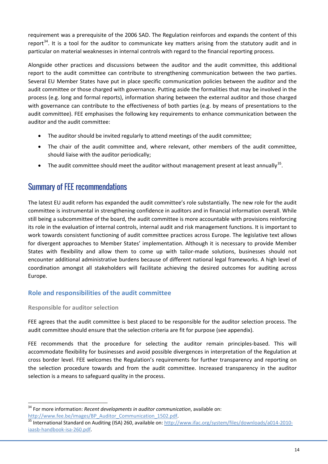requirement was a prerequisite of the 2006 SAD. The Regulation reinforces and expands the content of this report<sup>[34](#page-15-2)</sup>. It is a tool for the auditor to communicate key matters arising from the statutory audit and in particular on material weaknesses in internal controls with regard to the financial reporting process.

Alongside other practices and discussions between the auditor and the audit committee, this additional report to the audit committee can contribute to strengthening communication between the two parties. Several EU Member States have put in place specific communication policies between the auditor and the audit committee or those charged with governance. Putting aside the formalities that may be involved in the process (e.g. long and formal reports), information sharing between the external auditor and those charged with governance can contribute to the effectiveness of both parties (e.g. by means of presentations to the audit committee). FEE emphasises the following key requirements to enhance communication between the auditor and the audit committee:

- The auditor should be invited regularly to attend meetings of the audit committee;
- The chair of the audit committee and, where relevant, other members of the audit committee, should liaise with the auditor periodically;
- The audit committee should meet the auditor without management present at least annually<sup>[35](#page-15-3)</sup>.

# <span id="page-15-0"></span>Summary of FEE recommendations

The latest EU audit reform has expanded the audit committee's role substantially. The new role for the audit committee is instrumental in strengthening confidence in auditors and in financial information overall. While still being a subcommittee of the board, the audit committee is more accountable with provisions reinforcing its role in the evaluation of internal controls, internal audit and risk management functions. It is important to work towards consistent functioning of audit committee practices across Europe. The legislative text allows for divergent approaches to Member States' implementation. Although it is necessary to provide Member States with flexibility and allow them to come up with tailor-made solutions, businesses should not encounter additional administrative burdens because of different national legal frameworks. A high level of coordination amongst all stakeholders will facilitate achieving the desired outcomes for auditing across Europe.

# <span id="page-15-1"></span>**Role and responsibilities of the audit committee**

## **Responsible for auditor selection**

FEE agrees that the audit committee is best placed to be responsible for the auditor selection process. The audit committee should ensure that the selection criteria are fit for purpose (see appendix).

FEE recommends that the procedure for selecting the auditor remain principles-based. This will accommodate flexibility for businesses and avoid possible divergences in interpretation of the Regulation at cross border level. FEE welcomes the Regulation's requirements for further transparency and reporting on the selection procedure towards and from the audit committee. Increased transparency in the auditor selection is a means to safeguard quality in the process.

<span id="page-15-2"></span> <sup>34</sup> For more information: *Recent developments in auditor communication*, available on:

<span id="page-15-3"></span>http://www.fee.be/images/BP\_Auditor\_Communication\_1502.pdf.<br><sup>35</sup> International Standard on Auditing (ISA) 260, available on: [http://www.ifac.org/system/files/downloads/a014-2010](http://www.ifac.org/system/files/downloads/a014-2010-iaasb-handbook-isa-260.pdf) [iaasb-handbook-isa-260.pdf.](http://www.ifac.org/system/files/downloads/a014-2010-iaasb-handbook-isa-260.pdf)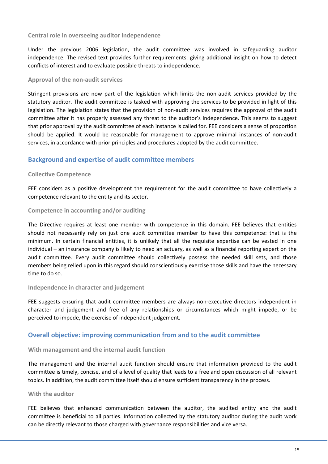#### **Central role in overseeing auditor independence**

Under the previous 2006 legislation, the audit committee was involved in safeguarding auditor independence. The revised text provides further requirements, giving additional insight on how to detect conflicts of interest and to evaluate possible threats to independence.

#### **Approval of the non-audit services**

Stringent provisions are now part of the legislation which limits the non-audit services provided by the statutory auditor. The audit committee is tasked with approving the services to be provided in light of this legislation. The legislation states that the provision of non-audit services requires the approval of the audit committee after it has properly assessed any threat to the auditor's independence. This seems to suggest that prior approval by the audit committee of each instance is called for. FEE considers a sense of proportion should be applied. It would be reasonable for management to approve minimal instances of non-audit services, in accordance with prior principles and procedures adopted by the audit committee.

## <span id="page-16-0"></span>**Background and expertise of audit committee members**

#### **Collective Competence**

FEE considers as a positive development the requirement for the audit committee to have collectively a competence relevant to the entity and its sector.

#### **Competence in accounting and/or auditing**

The Directive requires at least one member with competence in this domain. FEE believes that entities should not necessarily rely on just one audit committee member to have this competence: that is the minimum. In certain financial entities, it is unlikely that all the requisite expertise can be vested in one individual – an insurance company is likely to need an actuary, as well as a financial reporting expert on the audit committee. Every audit committee should collectively possess the needed skill sets, and those members being relied upon in this regard should conscientiously exercise those skills and have the necessary time to do so.

#### **Independence in character and judgement**

FEE suggests ensuring that audit committee members are always non-executive directors independent in character and judgement and free of any relationships or circumstances which might impede, or be perceived to impede, the exercise of independent judgement.

#### <span id="page-16-1"></span>**Overall objective: improving communication from and to the audit committee**

#### **With management and the internal audit function**

The management and the internal audit function should ensure that information provided to the audit committee is timely, concise, and of a level of quality that leads to a free and open discussion of all relevant topics. In addition, the audit committee itself should ensure sufficient transparency in the process.

#### **With the auditor**

FEE believes that enhanced communication between the auditor, the audited entity and the audit committee is beneficial to all parties. Information collected by the statutory auditor during the audit work can be directly relevant to those charged with governance responsibilities and vice versa.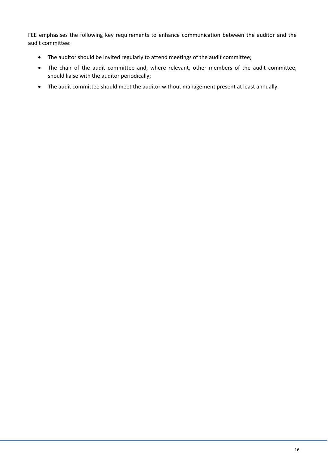FEE emphasises the following key requirements to enhance communication between the auditor and the audit committee:

- The auditor should be invited regularly to attend meetings of the audit committee;
- The chair of the audit committee and, where relevant, other members of the audit committee, should liaise with the auditor periodically;
- The audit committee should meet the auditor without management present at least annually.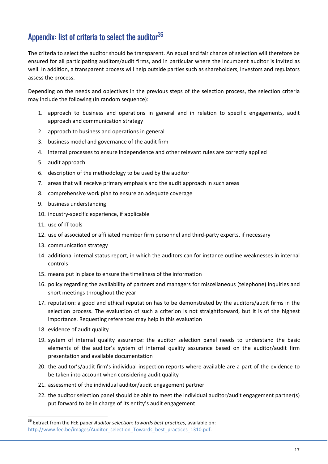# <span id="page-18-0"></span>Appendix: list of criteria to select the auditor $36$

The criteria to select the auditor should be transparent. An equal and fair chance of selection will therefore be ensured for all participating auditors/audit firms, and in particular where the incumbent auditor is invited as well. In addition, a transparent process will help outside parties such as shareholders, investors and regulators assess the process.

Depending on the needs and objectives in the previous steps of the selection process, the selection criteria may include the following (in random sequence):

- 1. approach to business and operations in general and in relation to specific engagements, audit approach and communication strategy
- 2. approach to business and operations in general
- 3. business model and governance of the audit firm
- 4. internal processes to ensure independence and other relevant rules are correctly applied
- 5. audit approach
- 6. description of the methodology to be used by the auditor
- 7. areas that will receive primary emphasis and the audit approach in such areas
- 8. comprehensive work plan to ensure an adequate coverage
- 9. business understanding
- 10. industry-specific experience, if applicable
- 11. use of IT tools
- 12. use of associated or affiliated member firm personnel and third-party experts, if necessary
- 13. communication strategy
- 14. additional internal status report, in which the auditors can for instance outline weaknesses in internal controls
- 15. means put in place to ensure the timeliness of the information
- 16. policy regarding the availability of partners and managers for miscellaneous (telephone) inquiries and short meetings throughout the year
- 17. reputation: a good and ethical reputation has to be demonstrated by the auditors/audit firms in the selection process. The evaluation of such a criterion is not straightforward, but it is of the highest importance. Requesting references may help in this evaluation
- 18. evidence of audit quality
- 19. system of internal quality assurance: the auditor selection panel needs to understand the basic elements of the auditor's system of internal quality assurance based on the auditor/audit firm presentation and available documentation
- 20. the auditor's/audit firm's individual inspection reports where available are a part of the evidence to be taken into account when considering audit quality
- 21. assessment of the individual auditor/audit engagement partner
- 22. the auditor selection panel should be able to meet the individual auditor/audit engagement partner(s) put forward to be in charge of its entity's audit engagement

<span id="page-18-1"></span> <sup>36</sup> Extract from the FEE paper *Auditor selection: towards best practices*, available on: [http://www.fee.be/images/Auditor\\_selection\\_Towards\\_best\\_practices\\_1310.pdf.](http://www.fee.be/images/Auditor_selection_Towards_best_practices_1310.pdf)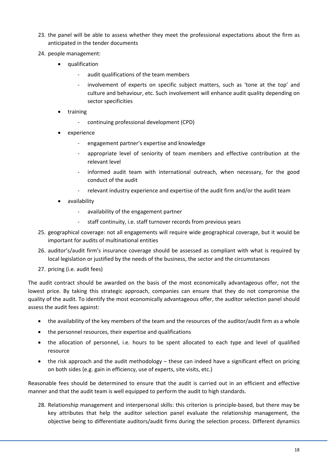- 23. the panel will be able to assess whether they meet the professional expectations about the firm as anticipated in the tender documents
- 24. people management:
	- qualification
		- audit qualifications of the team members
		- involvement of experts on specific subject matters, such as 'tone at the top' and culture and behaviour, etc. Such involvement will enhance audit quality depending on sector specificities
	- training
		- continuing professional development (CPD)
	- experience
		- engagement partner's expertise and knowledge
		- appropriate level of seniority of team members and effective contribution at the relevant level
		- informed audit team with international outreach, when necessary, for the good conduct of the audit
		- relevant industry experience and expertise of the audit firm and/or the audit team
	- availability
		- availability of the engagement partner
		- staff continuity, i.e. staff turnover records from previous years
- 25. geographical coverage: not all engagements will require wide geographical coverage, but it would be important for audits of multinational entities
- 26. auditor's/audit firm's insurance coverage should be assessed as compliant with what is required by local legislation or justified by the needs of the business, the sector and the circumstances
- 27. pricing (i.e. audit fees)

The audit contract should be awarded on the basis of the most economically advantageous offer, not the lowest price. By taking this strategic approach, companies can ensure that they do not compromise the quality of the audit. To identify the most economically advantageous offer, the auditor selection panel should assess the audit fees against:

- the availability of the key members of the team and the resources of the auditor/audit firm as a whole
- the personnel resources, their expertise and qualifications
- the allocation of personnel, i.e. hours to be spent allocated to each type and level of qualified resource
- the risk approach and the audit methodology these can indeed have a significant effect on pricing on both sides (e.g. gain in efficiency, use of experts, site visits, etc.)

Reasonable fees should be determined to ensure that the audit is carried out in an efficient and effective manner and that the audit team is well equipped to perform the audit to high standards.

28. Relationship management and interpersonal skills: this criterion is principle-based, but there may be key attributes that help the auditor selection panel evaluate the relationship management, the objective being to differentiate auditors/audit firms during the selection process. Different dynamics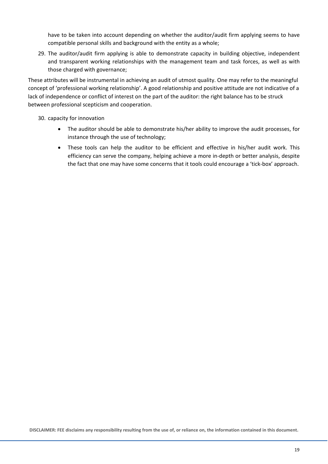have to be taken into account depending on whether the auditor/audit firm applying seems to have compatible personal skills and background with the entity as a whole;

29. The auditor/audit firm applying is able to demonstrate capacity in building objective, independent and transparent working relationships with the management team and task forces, as well as with those charged with governance;

These attributes will be instrumental in achieving an audit of utmost quality. One may refer to the meaningful concept of 'professional working relationship'. A good relationship and positive attitude are not indicative of a lack of independence or conflict of interest on the part of the auditor: the right balance has to be struck between professional scepticism and cooperation.

#### 30. capacity for innovation

- The auditor should be able to demonstrate his/her ability to improve the audit processes, for instance through the use of technology;
- These tools can help the auditor to be efficient and effective in his/her audit work. This efficiency can serve the company, helping achieve a more in-depth or better analysis, despite the fact that one may have some concerns that it tools could encourage a 'tick-box' approach.

**DISCLAIMER: FEE disclaims any responsibility resulting from the use of, or reliance on, the information contained in this document.**